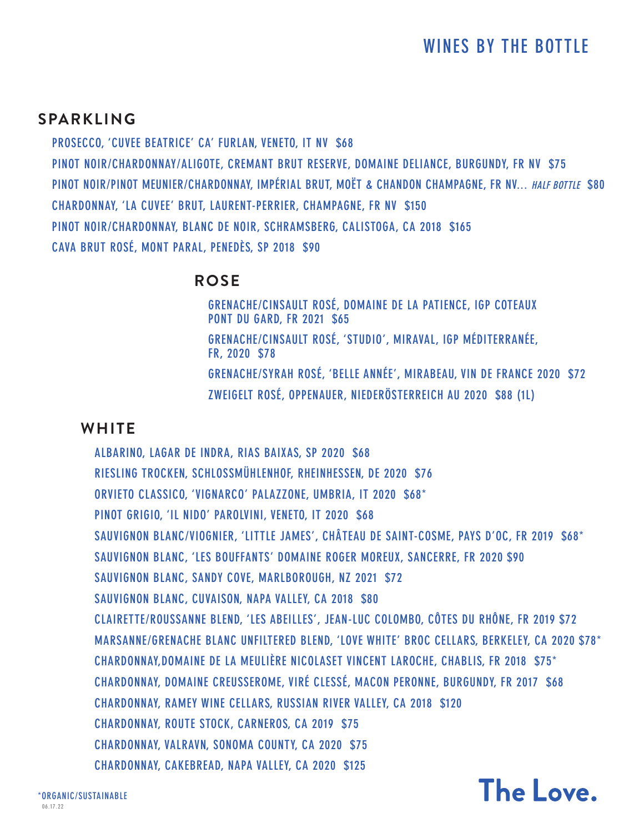## **SPARKLING**

**PROSECCO, 'CUVEE BEATRICE' CA' FURLAN, VENETO, IT NV \$68 PINOT NOIR/CHARDONNAY/ALIGOTE, CREMANT BRUT RESERVE, DOMAINE DELIANCE, BURGUNDY, FR NV \$75 PINOT NOIR/PINOT MEUNIER/CHARDONNAY, IMPÉRIAL BRUT, MOËT & CHANDON CHAMPAGNE, FR NV... HALF BOTTLE \$80 CHARDONNAY, 'LA CUVEE' BRUT, LAURENT-PERRIER, CHAMPAGNE, FR NV \$150 PINOT NOIR/CHARDONNAY, BLANC DE NOIR, SCHRAMSBERG, CALISTOGA, CA 2018 \$165 CAVA BRUT ROSÉ, MONT PARAL, PENEDÈS, SP 2018 \$90**

### **ROSE**

**GRENACHE/CINSAULT ROSÉ, DOMAINE DE LA PATIENCE, IGP COTEAUX PONT DU GARD, FR 2021 \$65 GRENACHE/CINSAULT ROSÉ, 'STUDIO', MIRAVAL, IGP MÉDITERRANÉE, FR, 2020 \$78 GRENACHE/SYRAH ROSÉ, 'BELLE ANNÉE', MIRABEAU, VIN DE FRANCE 2020 \$72 ZWEIGELT ROSÉ, OPPENAUER, NIEDERÖSTERREICH AU 2020 \$88 (1L)**

### **WHITE**

**ALBARINO, LAGAR DE INDRA, RIAS BAIXAS, SP 2020 \$68 RIESLING TROCKEN, SCHLOSSMÜHLENHOF, RHEINHESSEN, DE 2020 \$76 ORVIETO CLASSICO, 'VIGNARCO' PALAZZONE, UMBRIA, IT 2020 \$68\* PINOT GRIGIO, 'IL NIDO' PAROLVINI, VENETO, IT 2020 \$68 SAUVIGNON BLANC/VIOGNIER, 'LITTLE JAMES', CHÂTEAU DE SAINT-COSME, PAYS D'OC, FR 2019 \$68\* SAUVIGNON BLANC, 'LES BOUFFANTS' DOMAINE ROGER MOREUX, SANCERRE, FR 2020 \$90 SAUVIGNON BLANC, SANDY COVE, MARLBOROUGH, NZ 2021 \$72 SAUVIGNON BLANC, CUVAISON, NAPA VALLEY, CA 2018 \$80 CLAIRETTE/ROUSSANNE BLEND, 'LES ABEILLES', JEAN-LUC COLOMBO, CÔTES DU RHÔNE, FR 2019 \$72 MARSANNE/GRENACHE BLANC UNFILTERED BLEND, 'LOVE WHITE' BROC CELLARS, BERKELEY, CA 2020 \$78\* CHARDONNAY,DOMAINE DE LA MEULIÈRE NICOLASET VINCENT LAROCHE, CHABLIS, FR 2018 \$75\* CHARDONNAY, DOMAINE CREUSSEROME, VIRÉ CLESSÉ, MACON PERONNE, BURGUNDY, FR 2017 \$68 CHARDONNAY, RAMEY WINE CELLARS, RUSSIAN RIVER VALLEY, CA 2018 \$120 CHARDONNAY, ROUTE STOCK, CARNEROS, CA 2019 \$75 CHARDONNAY, VALRAVN, SONOMA COUNTY, CA 2020 \$75 CHARDONNAY, CAKEBREAD, NAPA VALLEY, CA 2020 \$125**